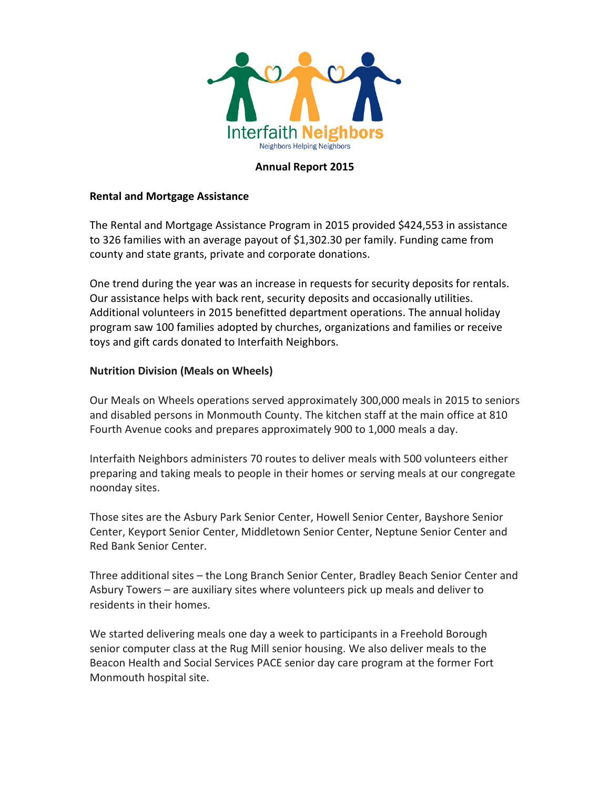

#### **Annual Report 2015**

## **Rental and Mortgage Assistance**

The Rental and Mortgage Assistance Program in 2015 provided \$424,553 in assistance to 326 families with an average payout of \$1,302.30 per family. Funding came from county and state grants, private and corporate donations.

One trend during the year was an increase in requests for security deposits for rentals. Our assistance helps with back rent, security deposits and occasionally utilities. Additional volunteers in 2015 benefitted department operations. The annual holiday program saw 100 families adopted by churches, organizations and families or receive toys and gift cards donated to Interfaith Neighbors.

#### **Nutrition Division (Meals on Wheels)**

Our Meals on Wheels operations served approximately 300,000 meals in 2015 to seniors and disabled persons in Monmouth County. The kitchen staff at the main office at 810 Fourth Avenue cooks and prepares approximately 900 to 1,000 meals a day.

Interfaith Neighbors administers 70 routes to deliver meals with 500 volunteers either preparing and taking meals to people in their homes or serving meals at our congregate noonday sites.

Those sites are the Asbury Park Senior Center, Howell Senior Center, Bayshore Senior Center, Keyport Senior Center, Middletown Senior Center, Neptune Senior Center and Red Bank Senior Center.

Three additional sites – the Long Branch Senior Center, Bradley Beach Senior Center and Asbury Towers – are auxiliary sites where volunteers pick up meals and deliver to residents in their homes.

We started delivering meals one day a week to participants in a Freehold Borough senior computer class at the Rug Mill senior housing. We also deliver meals to the Beacon Health and Social Services PACE senior day care program at the former Fort Monmouth hospital site.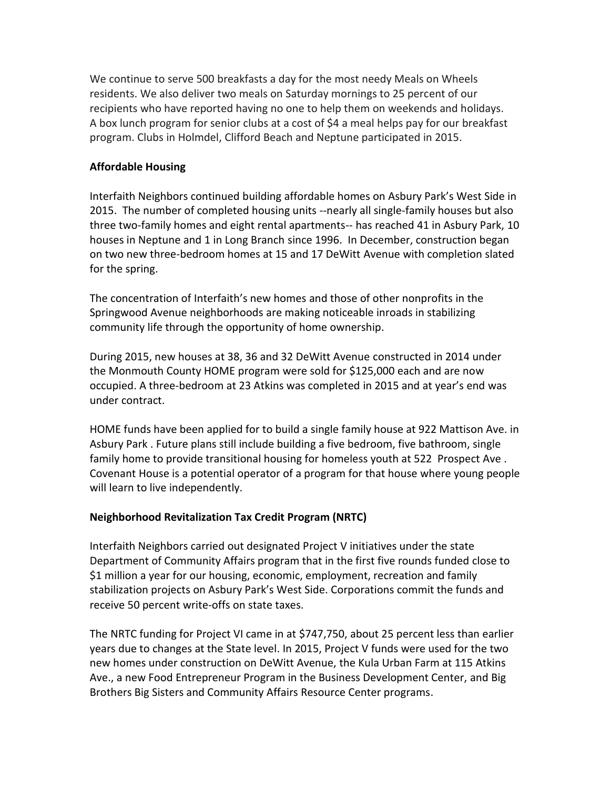We continue to serve 500 breakfasts a day for the most needy Meals on Wheels residents. We also deliver two meals on Saturday mornings to 25 percent of our recipients who have reported having no one to help them on weekends and holidays. A box lunch program for senior clubs at a cost of \$4 a meal helps pay for our breakfast program. Clubs in Holmdel, Clifford Beach and Neptune participated in 2015.

## **Affordable Housing**

Interfaith Neighbors continued building affordable homes on Asbury Park's West Side in 2015. The number of completed housing units --nearly all single-family houses but also three two-family homes and eight rental apartments-- has reached 41 in Asbury Park, 10 houses in Neptune and 1 in Long Branch since 1996. In December, construction began on two new three-bedroom homes at 15 and 17 DeWitt Avenue with completion slated for the spring.

The concentration of Interfaith's new homes and those of other nonprofits in the Springwood Avenue neighborhoods are making noticeable inroads in stabilizing community life through the opportunity of home ownership.

During 2015, new houses at 38, 36 and 32 DeWitt Avenue constructed in 2014 under the Monmouth County HOME program were sold for \$125,000 each and are now occupied. A three-bedroom at 23 Atkins was completed in 2015 and at year's end was under contract.

HOME funds have been applied for to build a single family house at 922 Mattison Ave. in Asbury Park . Future plans still include building a five bedroom, five bathroom, single family home to provide transitional housing for homeless youth at 522 Prospect Ave . Covenant House is a potential operator of a program for that house where young people will learn to live independently.

# **Neighborhood Revitalization Tax Credit Program (NRTC)**

Interfaith Neighbors carried out designated Project V initiatives under the state Department of Community Affairs program that in the first five rounds funded close to \$1 million a year for our housing, economic, employment, recreation and family stabilization projects on Asbury Park's West Side. Corporations commit the funds and receive 50 percent write-offs on state taxes.

The NRTC funding for Project VI came in at \$747,750, about 25 percent less than earlier years due to changes at the State level. In 2015, Project V funds were used for the two new homes under construction on DeWitt Avenue, the Kula Urban Farm at 115 Atkins Ave., a new Food Entrepreneur Program in the Business Development Center, and Big Brothers Big Sisters and Community Affairs Resource Center programs.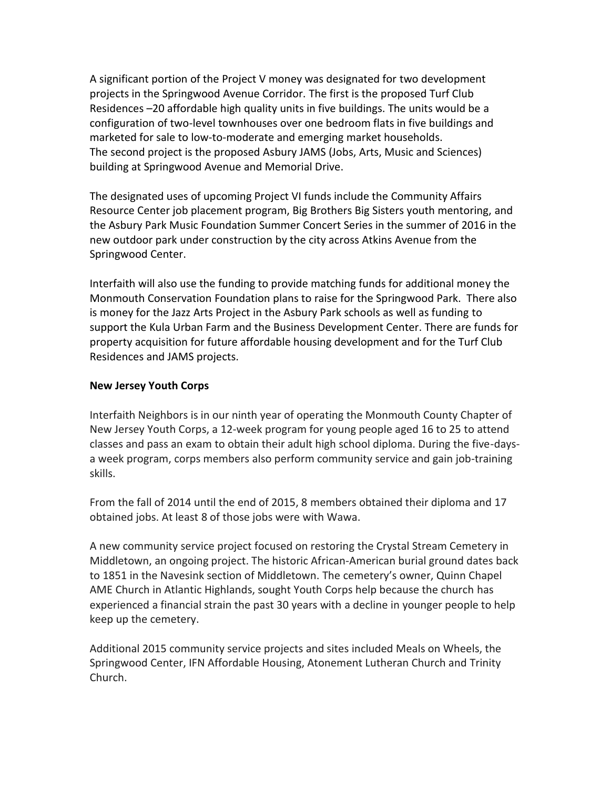A significant portion of the Project V money was designated for two development projects in the Springwood Avenue Corridor. The first is the proposed Turf Club Residences –20 affordable high quality units in five buildings. The units would be a configuration of two-level townhouses over one bedroom flats in five buildings and marketed for sale to low-to-moderate and emerging market households. The second project is the proposed Asbury JAMS (Jobs, Arts, Music and Sciences) building at Springwood Avenue and Memorial Drive.

The designated uses of upcoming Project VI funds include the Community Affairs Resource Center job placement program, Big Brothers Big Sisters youth mentoring, and the Asbury Park Music Foundation Summer Concert Series in the summer of 2016 in the new outdoor park under construction by the city across Atkins Avenue from the Springwood Center.

Interfaith will also use the funding to provide matching funds for additional money the Monmouth Conservation Foundation plans to raise for the Springwood Park. There also is money for the Jazz Arts Project in the Asbury Park schools as well as funding to support the Kula Urban Farm and the Business Development Center. There are funds for property acquisition for future affordable housing development and for the Turf Club Residences and JAMS projects.

#### **New Jersey Youth Corps**

Interfaith Neighbors is in our ninth year of operating the Monmouth County Chapter of New Jersey Youth Corps, a 12-week program for young people aged 16 to 25 to attend classes and pass an exam to obtain their adult high school diploma. During the five-daysa week program, corps members also perform community service and gain job-training skills.

From the fall of 2014 until the end of 2015, 8 members obtained their diploma and 17 obtained jobs. At least 8 of those jobs were with Wawa.

A new community service project focused on restoring the Crystal Stream Cemetery in Middletown, an ongoing project. The historic African-American burial ground dates back to 1851 in the Navesink section of Middletown. The cemetery's owner, Quinn Chapel AME Church in Atlantic Highlands, sought Youth Corps help because the church has experienced a financial strain the past 30 years with a decline in younger people to help keep up the cemetery.

Additional 2015 community service projects and sites included Meals on Wheels, the Springwood Center, IFN Affordable Housing, Atonement Lutheran Church and Trinity Church.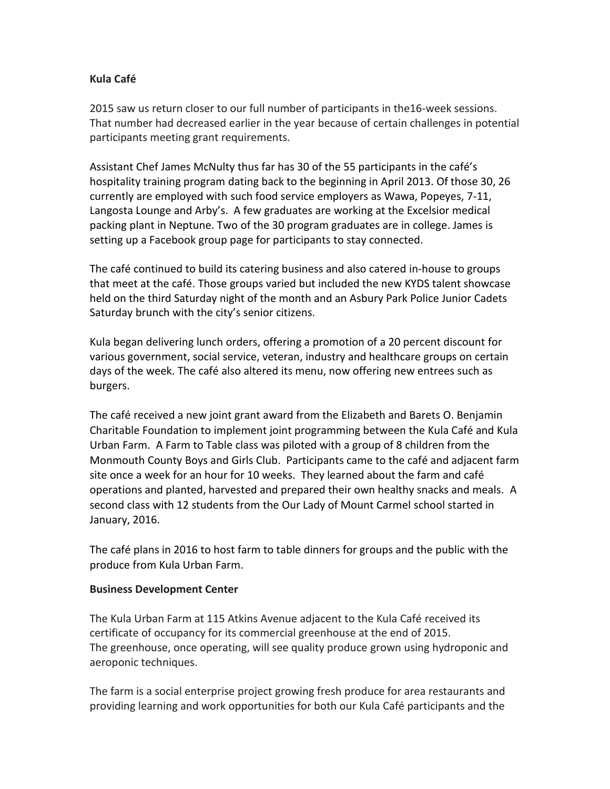## **Kula Café**

2015 saw us return closer to our full number of participants in the16-week sessions. That number had decreased earlier in the year because of certain challenges in potential participants meeting grant requirements.

Assistant Chef James McNulty thus far has 30 of the 55 participants in the café's hospitality training program dating back to the beginning in April 2013. Of those 30, 26 currently are employed with such food service employers as Wawa, Popeyes, 7-11, Langosta Lounge and Arby's. A few graduates are working at the Excelsior medical packing plant in Neptune. Two of the 30 program graduates are in college. James is setting up a Facebook group page for participants to stay connected.

The café continued to build its catering business and also catered in-house to groups that meet at the café. Those groups varied but included the new KYDS talent showcase held on the third Saturday night of the month and an Asbury Park Police Junior Cadets Saturday brunch with the city's senior citizens.

Kula began delivering lunch orders, offering a promotion of a 20 percent discount for various government, social service, veteran, industry and healthcare groups on certain days of the week. The café also altered its menu, now offering new entrees such as burgers.

The café received a new joint grant award from the Elizabeth and Barets O. Benjamin Charitable Foundation to implement joint programming between the Kula Café and Kula Urban Farm. A Farm to Table class was piloted with a group of 8 children from the Monmouth County Boys and Girls Club. Participants came to the café and adjacent farm site once a week for an hour for 10 weeks. They learned about the farm and café operations and planted, harvested and prepared their own healthy snacks and meals. A second class with 12 students from the Our Lady of Mount Carmel school started in January, 2016.

The café plans in 2016 to host farm to table dinners for groups and the public with the produce from Kula Urban Farm.

#### **Business Development Center**

The Kula Urban Farm at 115 Atkins Avenue adjacent to the Kula Café received its certificate of occupancy for its commercial greenhouse at the end of 2015. The greenhouse, once operating, will see quality produce grown using hydroponic and aeroponic techniques.

The farm is a social enterprise project growing fresh produce for area restaurants and providing learning and work opportunities for both our Kula Café participants and the